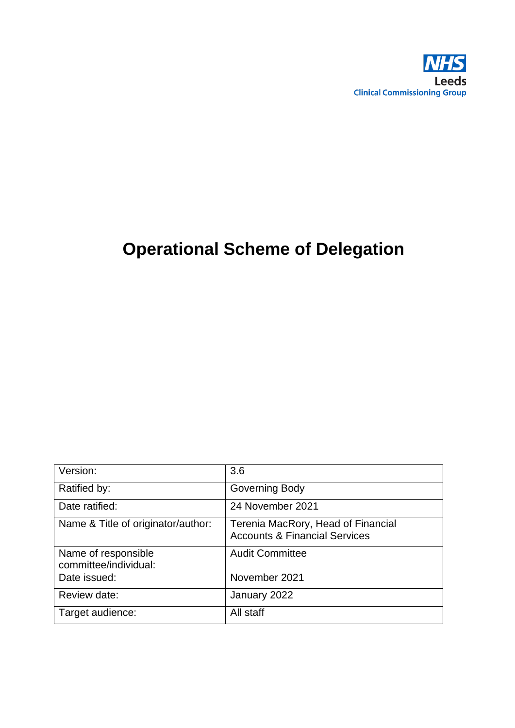

# **Operational Scheme of Delegation**

| Version:                                     | 3.6                                                                            |
|----------------------------------------------|--------------------------------------------------------------------------------|
| Ratified by:                                 | Governing Body                                                                 |
| Date ratified:                               | 24 November 2021                                                               |
| Name & Title of originator/author:           | Terenia MacRory, Head of Financial<br><b>Accounts &amp; Financial Services</b> |
| Name of responsible<br>committee/individual: | <b>Audit Committee</b>                                                         |
| Date issued:                                 | November 2021                                                                  |
| Review date:                                 | January 2022                                                                   |
| Target audience:                             | All staff                                                                      |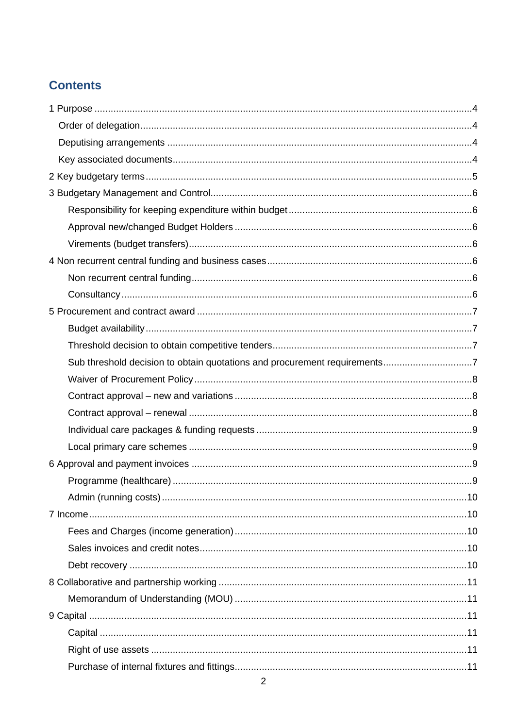### **Contents**

| Sub threshold decision to obtain quotations and procurement requirements7 |  |
|---------------------------------------------------------------------------|--|
|                                                                           |  |
|                                                                           |  |
|                                                                           |  |
|                                                                           |  |
|                                                                           |  |
|                                                                           |  |
|                                                                           |  |
|                                                                           |  |
|                                                                           |  |
|                                                                           |  |
|                                                                           |  |
|                                                                           |  |
|                                                                           |  |
|                                                                           |  |
|                                                                           |  |
|                                                                           |  |
|                                                                           |  |
|                                                                           |  |
|                                                                           |  |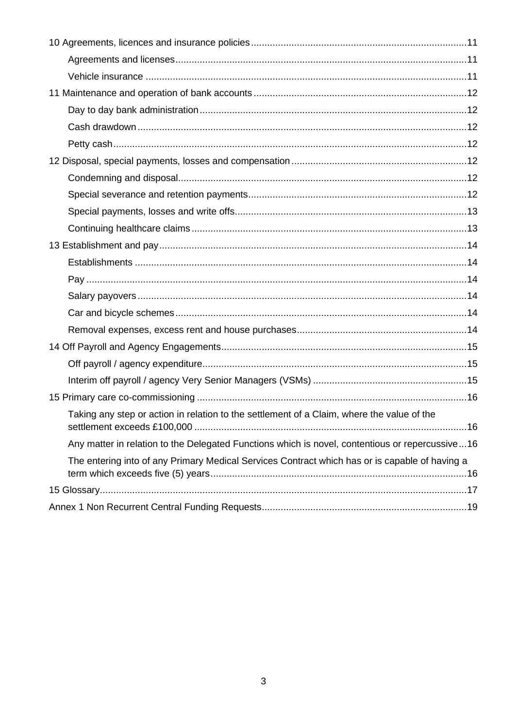| Taking any step or action in relation to the settlement of a Claim, where the value of the      |
|-------------------------------------------------------------------------------------------------|
| Any matter in relation to the Delegated Functions which is novel, contentious or repercussive16 |
| The entering into of any Primary Medical Services Contract which has or is capable of having a  |
|                                                                                                 |
|                                                                                                 |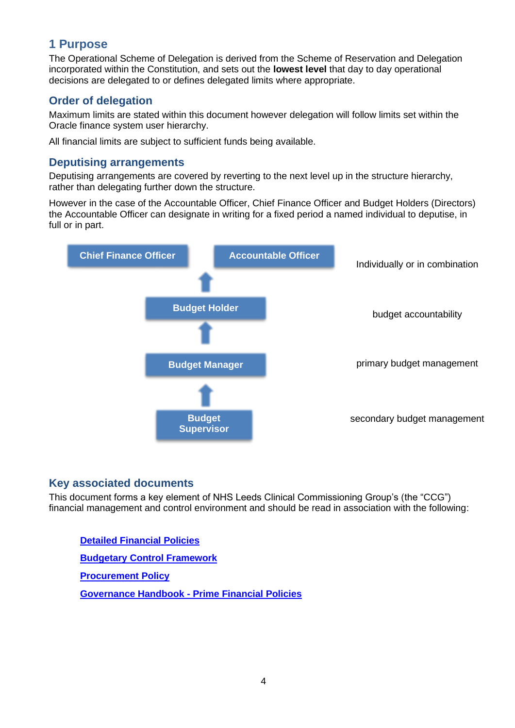#### <span id="page-3-0"></span>**1 Purpose**

The Operational Scheme of Delegation is derived from the Scheme of Reservation and Delegation incorporated within the Constitution, and sets out the **lowest level** that day to day operational decisions are delegated to or defines delegated limits where appropriate.

#### <span id="page-3-1"></span>**Order of delegation**

Maximum limits are stated within this document however delegation will follow limits set within the Oracle finance system user hierarchy.

All financial limits are subject to sufficient funds being available.

#### <span id="page-3-2"></span>**Deputising arrangements**

Deputising arrangements are covered by reverting to the next level up in the structure hierarchy, rather than delegating further down the structure.

However in the case of the Accountable Officer, Chief Finance Officer and Budget Holders (Directors) the Accountable Officer can designate in writing for a fixed period a named individual to deputise, in full or in part.



#### <span id="page-3-3"></span>**Key associated documents**

This document forms a key element of NHS Leeds Clinical Commissioning Group's (the "CCG") financial management and control environment and should be read in association with the following:

**[Detailed Financial Policies](https://www.leedsccg.nhs.uk/about/policies/organisational-policies/) [Budgetary Control Framework](https://www.leedsccg.nhs.uk/about/policies/organisational-policies/) [Procurement Policy](https://www.leedsccg.nhs.uk/about/policies/organisational-policies/) [Governance Handbook -](https://www.leedsccg.nhs.uk/about/governing-body/nhs-leeds-ccg-constitution/) Prime Financial Policies**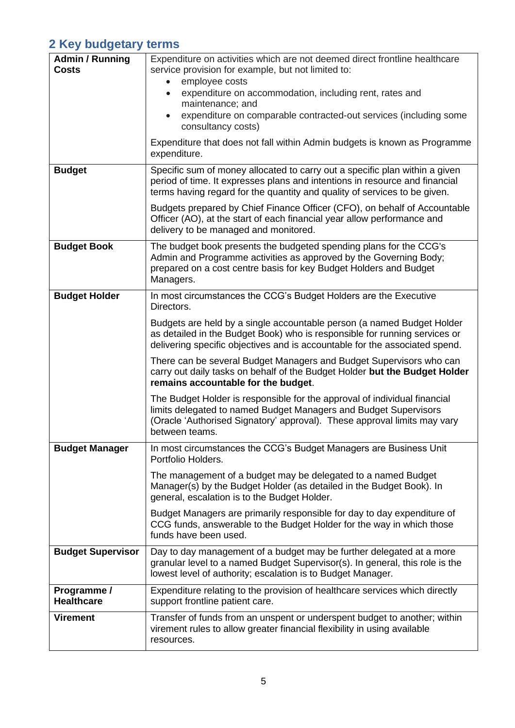### <span id="page-4-0"></span>**2 Key budgetary terms**

| <b>Admin / Running</b><br><b>Costs</b> | Expenditure on activities which are not deemed direct frontline healthcare<br>service provision for example, but not limited to:<br>employee costs<br>expenditure on accommodation, including rent, rates and<br>maintenance; and<br>expenditure on comparable contracted-out services (including some<br>consultancy costs)<br>Expenditure that does not fall within Admin budgets is known as Programme<br>expenditure. |  |
|----------------------------------------|---------------------------------------------------------------------------------------------------------------------------------------------------------------------------------------------------------------------------------------------------------------------------------------------------------------------------------------------------------------------------------------------------------------------------|--|
| <b>Budget</b>                          | Specific sum of money allocated to carry out a specific plan within a given<br>period of time. It expresses plans and intentions in resource and financial<br>terms having regard for the quantity and quality of services to be given.                                                                                                                                                                                   |  |
|                                        | Budgets prepared by Chief Finance Officer (CFO), on behalf of Accountable<br>Officer (AO), at the start of each financial year allow performance and<br>delivery to be managed and monitored.                                                                                                                                                                                                                             |  |
| <b>Budget Book</b>                     | The budget book presents the budgeted spending plans for the CCG's<br>Admin and Programme activities as approved by the Governing Body;<br>prepared on a cost centre basis for key Budget Holders and Budget<br>Managers.                                                                                                                                                                                                 |  |
| <b>Budget Holder</b>                   | In most circumstances the CCG's Budget Holders are the Executive<br>Directors.                                                                                                                                                                                                                                                                                                                                            |  |
|                                        | Budgets are held by a single accountable person (a named Budget Holder<br>as detailed in the Budget Book) who is responsible for running services or<br>delivering specific objectives and is accountable for the associated spend.                                                                                                                                                                                       |  |
|                                        | There can be several Budget Managers and Budget Supervisors who can<br>carry out daily tasks on behalf of the Budget Holder but the Budget Holder<br>remains accountable for the budget.                                                                                                                                                                                                                                  |  |
|                                        | The Budget Holder is responsible for the approval of individual financial<br>limits delegated to named Budget Managers and Budget Supervisors<br>(Oracle 'Authorised Signatory' approval). These approval limits may vary<br>between teams.                                                                                                                                                                               |  |
| <b>Budget Manager</b>                  | In most circumstances the CCG's Budget Managers are Business Unit<br>Portfolio Holders.                                                                                                                                                                                                                                                                                                                                   |  |
|                                        | The management of a budget may be delegated to a named Budget<br>Manager(s) by the Budget Holder (as detailed in the Budget Book). In<br>general, escalation is to the Budget Holder.                                                                                                                                                                                                                                     |  |
|                                        | Budget Managers are primarily responsible for day to day expenditure of<br>CCG funds, answerable to the Budget Holder for the way in which those<br>funds have been used.                                                                                                                                                                                                                                                 |  |
| <b>Budget Supervisor</b>               | Day to day management of a budget may be further delegated at a more<br>granular level to a named Budget Supervisor(s). In general, this role is the<br>lowest level of authority; escalation is to Budget Manager.                                                                                                                                                                                                       |  |
| Programme /<br><b>Healthcare</b>       | Expenditure relating to the provision of healthcare services which directly<br>support frontline patient care.                                                                                                                                                                                                                                                                                                            |  |
| <b>Virement</b>                        | Transfer of funds from an unspent or underspent budget to another; within<br>virement rules to allow greater financial flexibility in using available<br>resources.                                                                                                                                                                                                                                                       |  |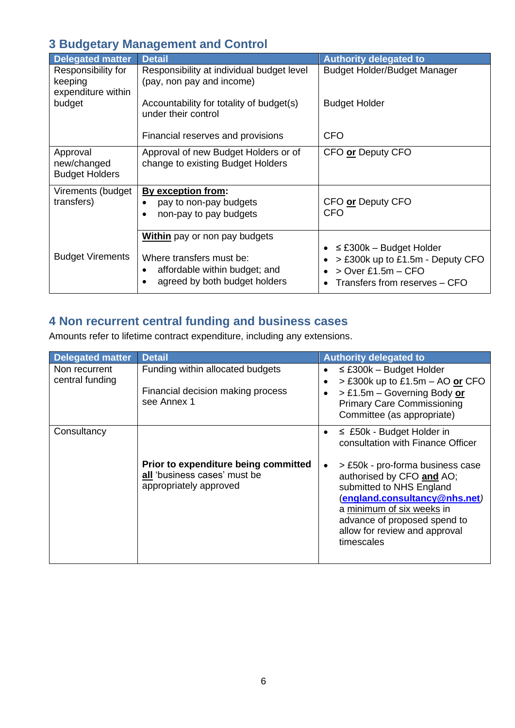#### <span id="page-5-0"></span>**3 Budgetary Management and Control**

<span id="page-5-2"></span><span id="page-5-1"></span>

| <b>Delegated matter</b>                             | <b>Detail</b>                                                                                   | <b>Authority delegated to</b>                                                             |
|-----------------------------------------------------|-------------------------------------------------------------------------------------------------|-------------------------------------------------------------------------------------------|
| Responsibility for<br>keeping<br>expenditure within | Responsibility at individual budget level<br>(pay, non pay and income)                          | <b>Budget Holder/Budget Manager</b>                                                       |
| budget                                              | Accountability for totality of budget(s)<br>under their control                                 | <b>Budget Holder</b>                                                                      |
|                                                     | Financial reserves and provisions                                                               | <b>CFO</b>                                                                                |
| Approval<br>new/changed<br><b>Budget Holders</b>    | Approval of new Budget Holders or of<br>change to existing Budget Holders                       | CFO or Deputy CFO                                                                         |
| Virements (budget                                   | By exception from:                                                                              |                                                                                           |
| transfers)                                          | pay to non-pay budgets                                                                          | CFO or Deputy CFO<br>CFO                                                                  |
|                                                     | non-pay to pay budgets<br>$\bullet$                                                             |                                                                                           |
|                                                     | <b>Within</b> pay or non pay budgets                                                            | $\leq$ £300k – Budget Holder                                                              |
| <b>Budget Virements</b>                             | Where transfers must be:<br>affordable within budget; and<br>٠<br>agreed by both budget holders | > £300k up to £1.5m - Deputy CFO<br>$>$ Over £1.5m – CFO<br>Transfers from reserves - CFO |

# <span id="page-5-4"></span><span id="page-5-3"></span>**4 Non recurrent central funding and business cases**

Amounts refer to lifetime contract expenditure, including any extensions.

<span id="page-5-6"></span><span id="page-5-5"></span>

| <b>Delegated matter</b>          | <b>Detail</b>                                                                                  | <b>Authority delegated to</b>                                                                                                                                                                                                                                                                                 |
|----------------------------------|------------------------------------------------------------------------------------------------|---------------------------------------------------------------------------------------------------------------------------------------------------------------------------------------------------------------------------------------------------------------------------------------------------------------|
| Non recurrent<br>central funding | Funding within allocated budgets<br>Financial decision making process<br>see Annex 1           | $\leq$ £300k – Budget Holder<br>$>$ £300k up to £1.5m – AO or CFO<br>> £1.5m - Governing Body or<br><b>Primary Care Commissioning</b><br>Committee (as appropriate)                                                                                                                                           |
| Consultancy                      | Prior to expenditure being committed<br>all 'business cases' must be<br>appropriately approved | $\leq$ £50k - Budget Holder in<br>consultation with Finance Officer<br>> £50k - pro-forma business case<br>authorised by CFO and AO;<br>submitted to NHS England<br>(england.consultancy@nhs.net)<br>a minimum of six weeks in<br>advance of proposed spend to<br>allow for review and approval<br>timescales |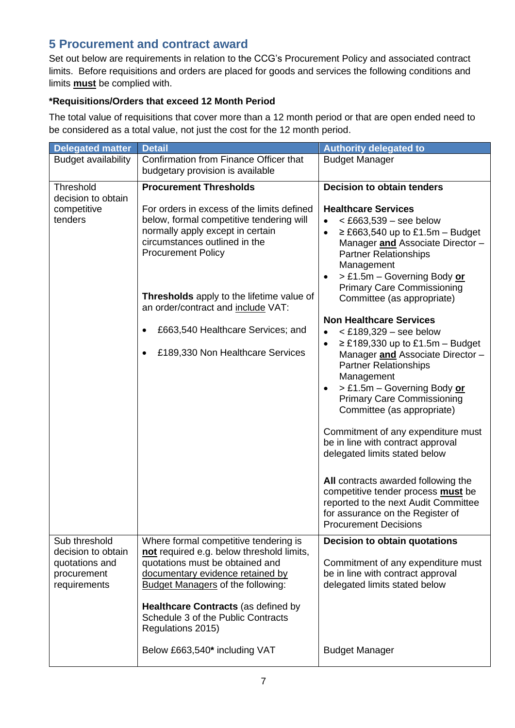#### <span id="page-6-0"></span>**5 Procurement and contract award**

Set out below are requirements in relation to the CCG's Procurement Policy and associated contract limits. Before requisitions and orders are placed for goods and services the following conditions and limits **must** be complied with.

#### **\*Requisitions/Orders that exceed 12 Month Period**

The total value of requisitions that cover more than a 12 month period or that are open ended need to be considered as a total value, not just the cost for the 12 month period.

<span id="page-6-3"></span><span id="page-6-2"></span><span id="page-6-1"></span>

| <b>Delegated matter</b>                                             | <b>Detail</b>                                                                                                                                                                                                                                                                                                                                                                              | <b>Authority delegated to</b>                                                                                                                                                                                                                                                                                                                                                                                                                                                                                                                                                                                                                                                                                                                                                                                                                                                                                                 |
|---------------------------------------------------------------------|--------------------------------------------------------------------------------------------------------------------------------------------------------------------------------------------------------------------------------------------------------------------------------------------------------------------------------------------------------------------------------------------|-------------------------------------------------------------------------------------------------------------------------------------------------------------------------------------------------------------------------------------------------------------------------------------------------------------------------------------------------------------------------------------------------------------------------------------------------------------------------------------------------------------------------------------------------------------------------------------------------------------------------------------------------------------------------------------------------------------------------------------------------------------------------------------------------------------------------------------------------------------------------------------------------------------------------------|
| <b>Budget availability</b>                                          | Confirmation from Finance Officer that<br>budgetary provision is available                                                                                                                                                                                                                                                                                                                 | <b>Budget Manager</b>                                                                                                                                                                                                                                                                                                                                                                                                                                                                                                                                                                                                                                                                                                                                                                                                                                                                                                         |
| Threshold<br>decision to obtain<br>competitive<br>tenders           | <b>Procurement Thresholds</b><br>For orders in excess of the limits defined<br>below, formal competitive tendering will<br>normally apply except in certain<br>circumstances outlined in the<br><b>Procurement Policy</b><br>Thresholds apply to the lifetime value of<br>an order/contract and include VAT:<br>£663,540 Healthcare Services; and<br>٠<br>£189,330 Non Healthcare Services | <b>Decision to obtain tenders</b><br><b>Healthcare Services</b><br>$<$ £663,539 – see below<br>$\bullet$<br>$\geq$ £663,540 up to £1.5m – Budget<br>$\bullet$<br>Manager and Associate Director -<br><b>Partner Relationships</b><br>Management<br>> £1.5m - Governing Body or<br><b>Primary Care Commissioning</b><br>Committee (as appropriate)<br><b>Non Healthcare Services</b><br>$<$ £189,329 – see below<br>$\geq$ £189,330 up to £1.5m – Budget<br>$\bullet$<br>Manager and Associate Director -<br><b>Partner Relationships</b><br>Management<br>> £1.5m - Governing Body or<br><b>Primary Care Commissioning</b><br>Committee (as appropriate)<br>Commitment of any expenditure must<br>be in line with contract approval<br>delegated limits stated below<br>All contracts awarded following the<br>competitive tender process must be<br>reported to the next Audit Committee<br>for assurance on the Register of |
| Sub threshold                                                       | Where formal competitive tendering is                                                                                                                                                                                                                                                                                                                                                      | <b>Procurement Decisions</b><br><b>Decision to obtain quotations</b>                                                                                                                                                                                                                                                                                                                                                                                                                                                                                                                                                                                                                                                                                                                                                                                                                                                          |
| decision to obtain<br>quotations and<br>procurement<br>requirements | not required e.g. below threshold limits,<br>quotations must be obtained and<br>documentary evidence retained by<br>Budget Managers of the following:                                                                                                                                                                                                                                      | Commitment of any expenditure must<br>be in line with contract approval<br>delegated limits stated below                                                                                                                                                                                                                                                                                                                                                                                                                                                                                                                                                                                                                                                                                                                                                                                                                      |
|                                                                     | <b>Healthcare Contracts (as defined by</b><br>Schedule 3 of the Public Contracts<br>Regulations 2015)                                                                                                                                                                                                                                                                                      |                                                                                                                                                                                                                                                                                                                                                                                                                                                                                                                                                                                                                                                                                                                                                                                                                                                                                                                               |
|                                                                     | Below £663,540* including VAT                                                                                                                                                                                                                                                                                                                                                              | <b>Budget Manager</b>                                                                                                                                                                                                                                                                                                                                                                                                                                                                                                                                                                                                                                                                                                                                                                                                                                                                                                         |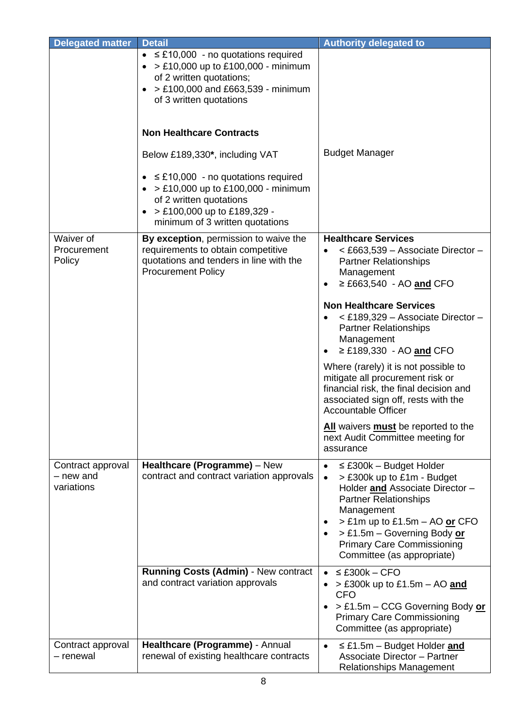<span id="page-7-2"></span><span id="page-7-1"></span><span id="page-7-0"></span>

| <b>Delegated matter</b>                      | <b>Detail</b>                                                                                                                                                                                              | <b>Authority delegated to</b>                                                                                                                                                                                                                                                                            |
|----------------------------------------------|------------------------------------------------------------------------------------------------------------------------------------------------------------------------------------------------------------|----------------------------------------------------------------------------------------------------------------------------------------------------------------------------------------------------------------------------------------------------------------------------------------------------------|
|                                              | $\bullet$ $\leq$ £10,000 - no quotations required<br>$\bullet$ > £10,000 up to £100,000 - minimum<br>of 2 written quotations;<br>> £100,000 and £663,539 - minimum<br>$\bullet$<br>of 3 written quotations |                                                                                                                                                                                                                                                                                                          |
|                                              | <b>Non Healthcare Contracts</b>                                                                                                                                                                            |                                                                                                                                                                                                                                                                                                          |
|                                              | Below £189,330*, including VAT                                                                                                                                                                             | <b>Budget Manager</b>                                                                                                                                                                                                                                                                                    |
|                                              | $\bullet$ $\leq$ £10,000 - no quotations required<br>• > £10,000 up to £100,000 - minimum<br>of 2 written quotations<br>> £100,000 up to £189,329 -<br>minimum of 3 written quotations                     |                                                                                                                                                                                                                                                                                                          |
| Waiver of<br>Procurement<br>Policy           | By exception, permission to waive the<br>requirements to obtain competitive<br>quotations and tenders in line with the<br><b>Procurement Policy</b>                                                        | <b>Healthcare Services</b><br>< £663,539 - Associate Director -<br><b>Partner Relationships</b><br>Management<br>$\geq$ £663,540 - AO and CFO                                                                                                                                                            |
|                                              |                                                                                                                                                                                                            | <b>Non Healthcare Services</b><br>< £189,329 - Associate Director -<br><b>Partner Relationships</b><br>Management<br>≥ £189,330 - AO and CFO                                                                                                                                                             |
|                                              |                                                                                                                                                                                                            | Where (rarely) it is not possible to<br>mitigate all procurement risk or<br>financial risk, the final decision and<br>associated sign off, rests with the<br><b>Accountable Officer</b>                                                                                                                  |
|                                              |                                                                                                                                                                                                            | All waivers must be reported to the<br>next Audit Committee meeting for<br>assurance                                                                                                                                                                                                                     |
| Contract approval<br>– new and<br>variations | Healthcare (Programme) - New<br>contract and contract variation approvals                                                                                                                                  | $\leq$ £300k - Budget Holder<br>$\bullet$<br>> £300k up to £1m - Budget<br>$\bullet$<br>Holder and Associate Director -<br><b>Partner Relationships</b><br>Management<br>> £1m up to £1.5m - AO or CFO<br>> £1.5m - Governing Body or<br><b>Primary Care Commissioning</b><br>Committee (as appropriate) |
|                                              | <b>Running Costs (Admin) - New contract</b><br>and contract variation approvals                                                                                                                            | $\leq$ £300k – CFO<br>$\bullet$<br>$>$ £300k up to £1.5m – AO and<br><b>CFO</b><br>> £1.5m - CCG Governing Body or<br><b>Primary Care Commissioning</b><br>Committee (as appropriate)                                                                                                                    |
| Contract approval<br>- renewal               | Healthcare (Programme) - Annual<br>renewal of existing healthcare contracts                                                                                                                                | $\leq$ £1.5m – Budget Holder and<br>$\bullet$<br><b>Associate Director - Partner</b><br>Relationships Management                                                                                                                                                                                         |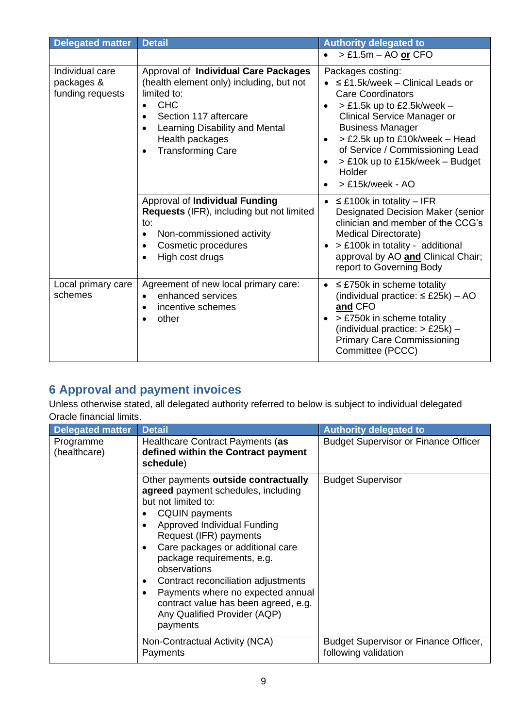<span id="page-8-0"></span>

| <b>Delegated matter</b>                           | <b>Detail</b>                                                                                                                                                                                                                                     | <b>Authority delegated to</b>                                                                                                                                                                                                                                                                                                 |
|---------------------------------------------------|---------------------------------------------------------------------------------------------------------------------------------------------------------------------------------------------------------------------------------------------------|-------------------------------------------------------------------------------------------------------------------------------------------------------------------------------------------------------------------------------------------------------------------------------------------------------------------------------|
|                                                   |                                                                                                                                                                                                                                                   | > £1.5m - AO or CFO                                                                                                                                                                                                                                                                                                           |
| Individual care<br>packages &<br>funding requests | Approval of Individual Care Packages<br>(health element only) including, but not<br>limited to:<br><b>CHC</b><br>Section 117 aftercare<br>$\bullet$<br>Learning Disability and Mental<br>Health packages<br><b>Transforming Care</b><br>$\bullet$ | Packages costing:<br>$\leq$ £1.5k/week - Clinical Leads or<br><b>Care Coordinators</b><br>$>$ £1.5k up to £2.5k/week –<br><b>Clinical Service Manager or</b><br><b>Business Manager</b><br>> £2.5k up to £10k/week - Head<br>of Service / Commissioning Lead<br>> £10k up to £15k/week - Budget<br>Holder<br>> £15k/week - AO |
|                                                   | <b>Approval of Individual Funding</b><br><b>Requests (IFR), including but not limited</b><br>to:<br>Non-commissioned activity<br>$\bullet$<br>Cosmetic procedures<br>$\bullet$<br>High cost drugs<br>$\bullet$                                    | $\leq$ £100k in totality – IFR<br>$\bullet$<br>Designated Decision Maker (senior<br>clinician and member of the CCG's<br>Medical Directorate)<br>> £100k in totality - additional<br>approval by AO and Clinical Chair;<br>report to Governing Body                                                                           |
| Local primary care<br>schemes                     | Agreement of new local primary care:<br>enhanced services<br>$\bullet$<br>incentive schemes<br>$\bullet$<br>other<br>$\bullet$                                                                                                                    | $\leq$ £750k in scheme totality<br>$\bullet$<br>(individual practice: $\leq$ £25k) - AO<br>and CFO<br>> £750k in scheme totality<br>(individual practice: > £25k) -<br><b>Primary Care Commissioning</b><br>Committee (PCCC)                                                                                                  |

### <span id="page-8-2"></span><span id="page-8-1"></span>**6 Approval and payment invoices**

Unless otherwise stated, all delegated authority referred to below is subject to individual delegated Oracle financial limits.

<span id="page-8-3"></span>

| <b>Delegated matter</b>   | <b>Detail</b>                                                                                                                                                                                                                                                                                                                                                                                                                                                           | <b>Authority delegated to</b>                                 |
|---------------------------|-------------------------------------------------------------------------------------------------------------------------------------------------------------------------------------------------------------------------------------------------------------------------------------------------------------------------------------------------------------------------------------------------------------------------------------------------------------------------|---------------------------------------------------------------|
| Programme<br>(healthcare) | Healthcare Contract Payments (as<br>defined within the Contract payment<br>schedule)                                                                                                                                                                                                                                                                                                                                                                                    | <b>Budget Supervisor or Finance Officer</b>                   |
|                           | Other payments outside contractually<br>agreed payment schedules, including<br>but not limited to:<br><b>CQUIN payments</b><br>٠<br>Approved Individual Funding<br>$\bullet$<br>Request (IFR) payments<br>Care packages or additional care<br>٠<br>package requirements, e.g.<br>observations<br>Contract reconciliation adjustments<br>٠<br>Payments where no expected annual<br>٠<br>contract value has been agreed, e.g.<br>Any Qualified Provider (AQP)<br>payments | <b>Budget Supervisor</b>                                      |
|                           | Non-Contractual Activity (NCA)<br>Payments                                                                                                                                                                                                                                                                                                                                                                                                                              | Budget Supervisor or Finance Officer,<br>following validation |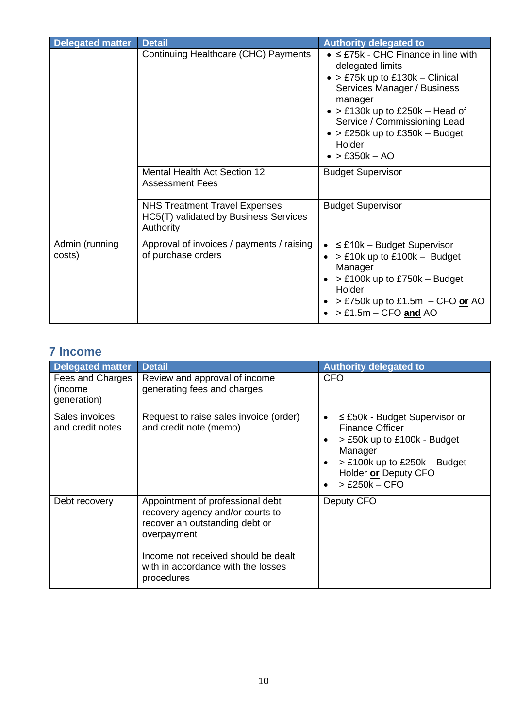| <b>Delegated matter</b>  | <b>Detail</b>                                                                              | <b>Authority delegated to</b>                                                                                                                                                                                                                                                                                      |
|--------------------------|--------------------------------------------------------------------------------------------|--------------------------------------------------------------------------------------------------------------------------------------------------------------------------------------------------------------------------------------------------------------------------------------------------------------------|
|                          | Continuing Healthcare (CHC) Payments                                                       | $\bullet$ $\leq$ £75k - CHC Finance in line with<br>delegated limits<br>$\bullet$ > £75k up to £130k – Clinical<br>Services Manager / Business<br>manager<br>$\bullet$ > £130k up to £250k – Head of<br>Service / Commissioning Lead<br>$\bullet$ > £250k up to £350k – Budget<br>Holder<br>$\bullet$ > £350k - AO |
|                          | Mental Health Act Section 12<br><b>Assessment Fees</b>                                     | <b>Budget Supervisor</b>                                                                                                                                                                                                                                                                                           |
|                          | <b>NHS Treatment Travel Expenses</b><br>HC5(T) validated by Business Services<br>Authority | <b>Budget Supervisor</b>                                                                                                                                                                                                                                                                                           |
| Admin (running<br>costs) | Approval of invoices / payments / raising<br>of purchase orders                            | $\leq$ £10k - Budget Supervisor<br>$\bullet$<br>$>$ £10k up to £100k – Budget<br>$\bullet$<br>Manager<br>$>$ £100k up to £750k – Budget<br>Holder<br>$>$ £750k up to £1.5m – CFO or AO<br>$> £1.5m - CFO$ and AO                                                                                                   |

### <span id="page-9-1"></span><span id="page-9-0"></span>**7 Income**

<span id="page-9-4"></span><span id="page-9-3"></span><span id="page-9-2"></span>

| <b>Delegated matter</b>                    | <b>Detail</b>                                                                                                                                                                                                    | <b>Authority delegated to</b>                                                                                                                                                                       |
|--------------------------------------------|------------------------------------------------------------------------------------------------------------------------------------------------------------------------------------------------------------------|-----------------------------------------------------------------------------------------------------------------------------------------------------------------------------------------------------|
| Fees and Charges<br>(income<br>generation) | Review and approval of income<br>generating fees and charges                                                                                                                                                     | CFO                                                                                                                                                                                                 |
| Sales invoices<br>and credit notes         | Request to raise sales invoice (order)<br>and credit note (memo)                                                                                                                                                 | $\leq$ £50k - Budget Supervisor or<br>$\bullet$<br><b>Finance Officer</b><br>> £50k up to £100k - Budget<br>Manager<br>$>$ £100k up to £250k – Budget<br>Holder or Deputy CFO<br>$>$ £250 $k$ – CFO |
| Debt recovery                              | Appointment of professional debt<br>recovery agency and/or courts to<br>recover an outstanding debt or<br>overpayment<br>Income not received should be dealt<br>with in accordance with the losses<br>procedures | Deputy CFO                                                                                                                                                                                          |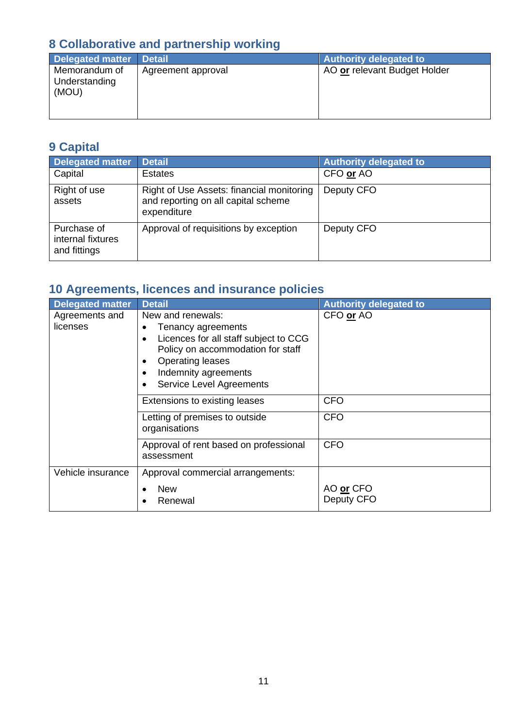# <span id="page-10-0"></span>**8 Collaborative and partnership working**

<span id="page-10-1"></span>

| <b>Delegated matter</b>                 | <b>Detail</b>      | <b>Authority delegated to</b> |
|-----------------------------------------|--------------------|-------------------------------|
| Memorandum of<br>Understanding<br>(MOU) | Agreement approval | AO or relevant Budget Holder  |

### <span id="page-10-2"></span>**9 Capital**

<span id="page-10-4"></span><span id="page-10-3"></span>

| <b>Delegated matter</b>                          | <b>Detail</b>                                                                                   | <b>Authority delegated to</b> |
|--------------------------------------------------|-------------------------------------------------------------------------------------------------|-------------------------------|
| Capital                                          | <b>Estates</b>                                                                                  | CFO or AO                     |
| Right of use<br>assets                           | Right of Use Assets: financial monitoring<br>and reporting on all capital scheme<br>expenditure | Deputy CFO                    |
| Purchase of<br>internal fixtures<br>and fittings | Approval of requisitions by exception                                                           | Deputy CFO                    |

# <span id="page-10-6"></span><span id="page-10-5"></span>**10 Agreements, licences and insurance policies**

<span id="page-10-8"></span><span id="page-10-7"></span>

| <b>Delegated matter</b>    | <b>Detail</b>                                                                                                                                                                                                                                   | <b>Authority delegated to</b> |
|----------------------------|-------------------------------------------------------------------------------------------------------------------------------------------------------------------------------------------------------------------------------------------------|-------------------------------|
| Agreements and<br>licenses | New and renewals:<br>Tenancy agreements<br>Licences for all staff subject to CCG<br>$\bullet$<br>Policy on accommodation for staff<br><b>Operating leases</b><br>٠<br>Indemnity agreements<br>٠<br><b>Service Level Agreements</b><br>$\bullet$ | CFO or AO                     |
|                            | Extensions to existing leases                                                                                                                                                                                                                   | <b>CFO</b>                    |
|                            | Letting of premises to outside<br>organisations                                                                                                                                                                                                 | <b>CFO</b>                    |
|                            | Approval of rent based on professional<br>assessment                                                                                                                                                                                            | <b>CFO</b>                    |
| Vehicle insurance          | Approval commercial arrangements:<br><b>New</b><br>Renewal                                                                                                                                                                                      | AO or CFO<br>Deputy CFO       |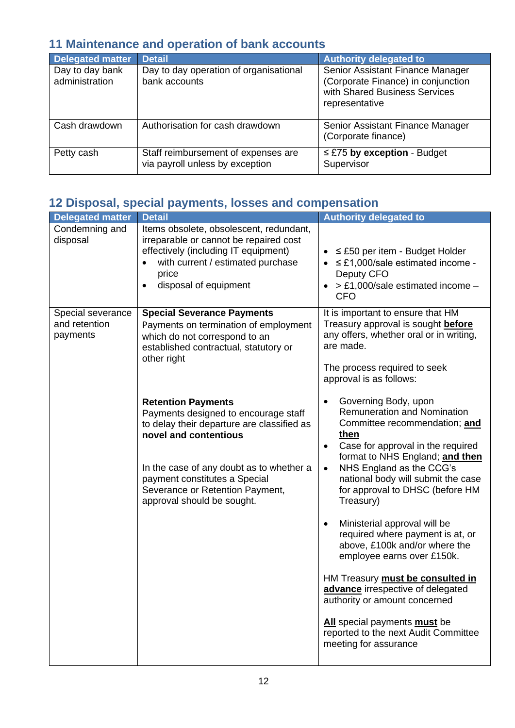# <span id="page-11-0"></span>**11 Maintenance and operation of bank accounts**

<span id="page-11-2"></span><span id="page-11-1"></span>

| <b>Delegated matter</b>           | <b>Detail</b>                                                          | <b>Authority delegated to</b>                                                                                             |
|-----------------------------------|------------------------------------------------------------------------|---------------------------------------------------------------------------------------------------------------------------|
| Day to day bank<br>administration | Day to day operation of organisational<br>bank accounts                | Senior Assistant Finance Manager<br>(Corporate Finance) in conjunction<br>with Shared Business Services<br>representative |
| Cash drawdown                     | Authorisation for cash drawdown                                        | Senior Assistant Finance Manager<br>(Corporate finance)                                                                   |
| Petty cash                        | Staff reimbursement of expenses are<br>via payroll unless by exception | $\leq$ £75 by exception - Budget<br>Supervisor                                                                            |

### <span id="page-11-4"></span><span id="page-11-3"></span>**12 Disposal, special payments, losses and compensation**

<span id="page-11-6"></span><span id="page-11-5"></span>

| <b>Delegated matter</b>                        | <b>Detail</b>                                                                                                                                                                                                                                                                          | <b>Authority delegated to</b>                                                                                                                                                                                                                                                                                                        |
|------------------------------------------------|----------------------------------------------------------------------------------------------------------------------------------------------------------------------------------------------------------------------------------------------------------------------------------------|--------------------------------------------------------------------------------------------------------------------------------------------------------------------------------------------------------------------------------------------------------------------------------------------------------------------------------------|
| Condemning and<br>disposal                     | Items obsolete, obsolescent, redundant,<br>irreparable or cannot be repaired cost<br>effectively (including IT equipment)<br>with current / estimated purchase<br>$\bullet$<br>price<br>disposal of equipment<br>$\bullet$                                                             | $\bullet$ $\leq$ £50 per item - Budget Holder<br>$\leq$ £1,000/sale estimated income -<br>Deputy CFO<br>> £1,000/sale estimated income -<br><b>CFO</b>                                                                                                                                                                               |
| Special severance<br>and retention<br>payments | <b>Special Severance Payments</b><br>Payments on termination of employment<br>which do not correspond to an<br>established contractual, statutory or<br>other right                                                                                                                    | It is important to ensure that HM<br>Treasury approval is sought before<br>any offers, whether oral or in writing,<br>are made.<br>The process required to seek<br>approval is as follows:                                                                                                                                           |
|                                                | <b>Retention Payments</b><br>Payments designed to encourage staff<br>to delay their departure are classified as<br>novel and contentious<br>In the case of any doubt as to whether a<br>payment constitutes a Special<br>Severance or Retention Payment,<br>approval should be sought. | Governing Body, upon<br>$\bullet$<br><b>Remuneration and Nomination</b><br>Committee recommendation; and<br>then<br>Case for approval in the required<br>$\bullet$<br>format to NHS England; and then<br>NHS England as the CCG's<br>$\bullet$<br>national body will submit the case<br>for approval to DHSC (before HM<br>Treasury) |
|                                                |                                                                                                                                                                                                                                                                                        | Ministerial approval will be<br>$\bullet$<br>required where payment is at, or<br>above, £100k and/or where the<br>employee earns over £150k.                                                                                                                                                                                         |
|                                                |                                                                                                                                                                                                                                                                                        | HM Treasury must be consulted in<br>advance irrespective of delegated<br>authority or amount concerned                                                                                                                                                                                                                               |
|                                                |                                                                                                                                                                                                                                                                                        | All special payments must be<br>reported to the next Audit Committee<br>meeting for assurance                                                                                                                                                                                                                                        |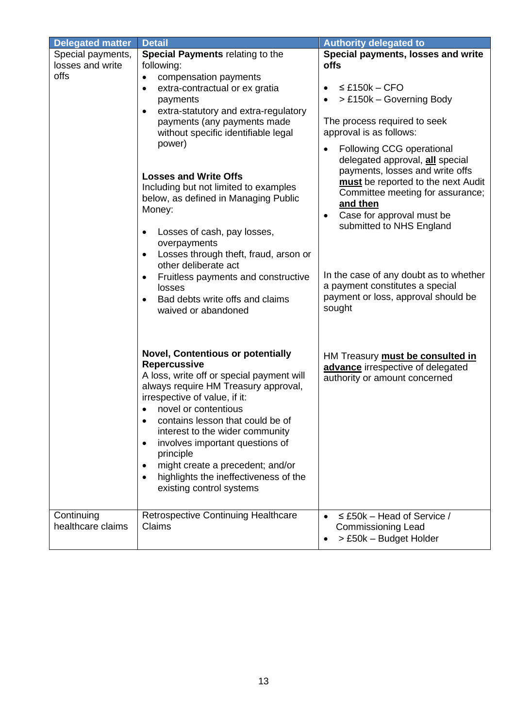<span id="page-12-1"></span><span id="page-12-0"></span>

| <b>Delegated matter</b>                                                                                                                                                                                                                                                                                                                                                                                                                                                                                                                                                                                                    | <b>Detail</b>                                                                                                                                                                                                                                                                                                                                                                                                                                                                                            | <b>Authority delegated to</b>                                                                                                                                                                                                                                                                                                                                                                                                                                                                                                                 |
|----------------------------------------------------------------------------------------------------------------------------------------------------------------------------------------------------------------------------------------------------------------------------------------------------------------------------------------------------------------------------------------------------------------------------------------------------------------------------------------------------------------------------------------------------------------------------------------------------------------------------|----------------------------------------------------------------------------------------------------------------------------------------------------------------------------------------------------------------------------------------------------------------------------------------------------------------------------------------------------------------------------------------------------------------------------------------------------------------------------------------------------------|-----------------------------------------------------------------------------------------------------------------------------------------------------------------------------------------------------------------------------------------------------------------------------------------------------------------------------------------------------------------------------------------------------------------------------------------------------------------------------------------------------------------------------------------------|
| Special payments,                                                                                                                                                                                                                                                                                                                                                                                                                                                                                                                                                                                                          | Special Payments relating to the                                                                                                                                                                                                                                                                                                                                                                                                                                                                         | Special payments, losses and write                                                                                                                                                                                                                                                                                                                                                                                                                                                                                                            |
| losses and write                                                                                                                                                                                                                                                                                                                                                                                                                                                                                                                                                                                                           | following:                                                                                                                                                                                                                                                                                                                                                                                                                                                                                               | <b>offs</b>                                                                                                                                                                                                                                                                                                                                                                                                                                                                                                                                   |
| offs<br>compensation payments<br>$\bullet$<br>extra-contractual or ex gratia<br>$\bullet$<br>payments<br>extra-statutory and extra-regulatory<br>$\bullet$<br>payments (any payments made<br>without specific identifiable legal<br>power)<br><b>Losses and Write Offs</b><br>Including but not limited to examples<br>below, as defined in Managing Public<br>Money:<br>Losses of cash, pay losses,<br>overpayments<br>Losses through theft, fraud, arson or<br>$\bullet$<br>other deliberate act<br>Fruitless payments and constructive<br>$\bullet$<br>losses<br>Bad debts write offs and claims<br>waived or abandoned |                                                                                                                                                                                                                                                                                                                                                                                                                                                                                                          | $\leq$ £150k – CFO<br>$\bullet$<br>> £150k - Governing Body<br>$\bullet$<br>The process required to seek<br>approval is as follows:<br>Following CCG operational<br>$\bullet$<br>delegated approval, all special<br>payments, losses and write offs<br>must be reported to the next Audit<br>Committee meeting for assurance;<br>and then<br>Case for approval must be<br>$\bullet$<br>submitted to NHS England<br>In the case of any doubt as to whether<br>a payment constitutes a special<br>payment or loss, approval should be<br>sought |
| Continuing                                                                                                                                                                                                                                                                                                                                                                                                                                                                                                                                                                                                                 | <b>Novel, Contentious or potentially</b><br><b>Repercussive</b><br>A loss, write off or special payment will<br>always require HM Treasury approval,<br>irrespective of value, if it:<br>novel or contentious<br>contains lesson that could be of<br>$\bullet$<br>interest to the wider community<br>involves important questions of<br>principle<br>might create a precedent; and/or<br>highlights the ineffectiveness of the<br>existing control systems<br><b>Retrospective Continuing Healthcare</b> | HM Treasury <b>must be consulted in</b><br>advance irrespective of delegated<br>authority or amount concerned<br>$\leq$ £50k – Head of Service /<br>$\bullet$                                                                                                                                                                                                                                                                                                                                                                                 |
| healthcare claims                                                                                                                                                                                                                                                                                                                                                                                                                                                                                                                                                                                                          | Claims                                                                                                                                                                                                                                                                                                                                                                                                                                                                                                   | <b>Commissioning Lead</b><br>> £50k - Budget Holder<br>$\bullet$                                                                                                                                                                                                                                                                                                                                                                                                                                                                              |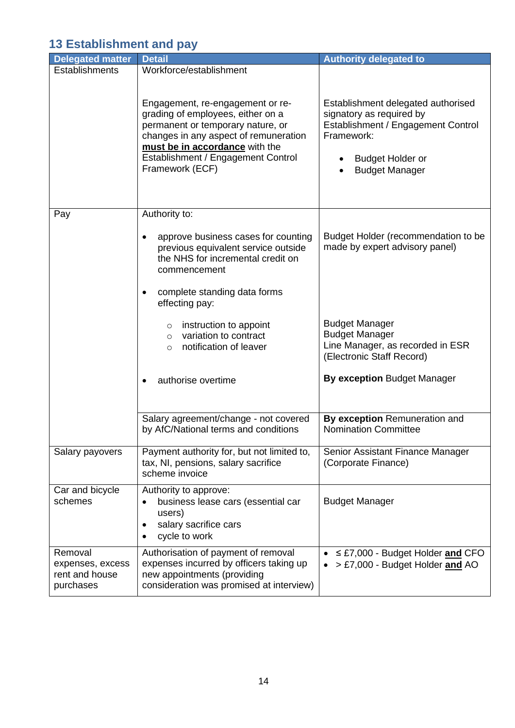#### <span id="page-13-0"></span>**13 Establishment and pay**

<span id="page-13-5"></span><span id="page-13-4"></span><span id="page-13-3"></span><span id="page-13-2"></span><span id="page-13-1"></span>

| <b>Delegated matter</b>                                    | <b>Detail</b>                                                                                                                                                                                                                                  | <b>Authority delegated to</b>                                                                                                                                          |
|------------------------------------------------------------|------------------------------------------------------------------------------------------------------------------------------------------------------------------------------------------------------------------------------------------------|------------------------------------------------------------------------------------------------------------------------------------------------------------------------|
| Establishments                                             | Workforce/establishment                                                                                                                                                                                                                        |                                                                                                                                                                        |
|                                                            | Engagement, re-engagement or re-<br>grading of employees, either on a<br>permanent or temporary nature, or<br>changes in any aspect of remuneration<br>must be in accordance with the<br>Establishment / Engagement Control<br>Framework (ECF) | Establishment delegated authorised<br>signatory as required by<br>Establishment / Engagement Control<br>Framework:<br><b>Budget Holder or</b><br><b>Budget Manager</b> |
| Pay                                                        | Authority to:                                                                                                                                                                                                                                  |                                                                                                                                                                        |
|                                                            | approve business cases for counting<br>previous equivalent service outside<br>the NHS for incremental credit on<br>commencement                                                                                                                | Budget Holder (recommendation to be<br>made by expert advisory panel)                                                                                                  |
|                                                            | complete standing data forms<br>effecting pay:                                                                                                                                                                                                 |                                                                                                                                                                        |
|                                                            | instruction to appoint<br>$\circ$<br>variation to contract<br>$\circ$<br>notification of leaver<br>$\circ$                                                                                                                                     | <b>Budget Manager</b><br><b>Budget Manager</b><br>Line Manager, as recorded in ESR<br>(Electronic Staff Record)                                                        |
|                                                            | authorise overtime                                                                                                                                                                                                                             | By exception Budget Manager                                                                                                                                            |
|                                                            | Salary agreement/change - not covered<br>by AfC/National terms and conditions                                                                                                                                                                  | By exception Remuneration and<br><b>Nomination Committee</b>                                                                                                           |
| Salary payovers                                            | Payment authority for, but not limited to,<br>tax, NI, pensions, salary sacrifice<br>scheme invoice                                                                                                                                            | Senior Assistant Finance Manager<br>(Corporate Finance)                                                                                                                |
| Car and bicycle<br>schemes                                 | Authority to approve:<br>business lease cars (essential car<br>٠<br>users)<br>salary sacrifice cars<br>٠<br>cycle to work                                                                                                                      | <b>Budget Manager</b>                                                                                                                                                  |
| Removal<br>expenses, excess<br>rent and house<br>purchases | Authorisation of payment of removal<br>expenses incurred by officers taking up<br>new appointments (providing<br>consideration was promised at interview)                                                                                      | $\leq$ £7,000 - Budget Holder and CFO<br>$\bullet$<br>> £7,000 - Budget Holder and AO                                                                                  |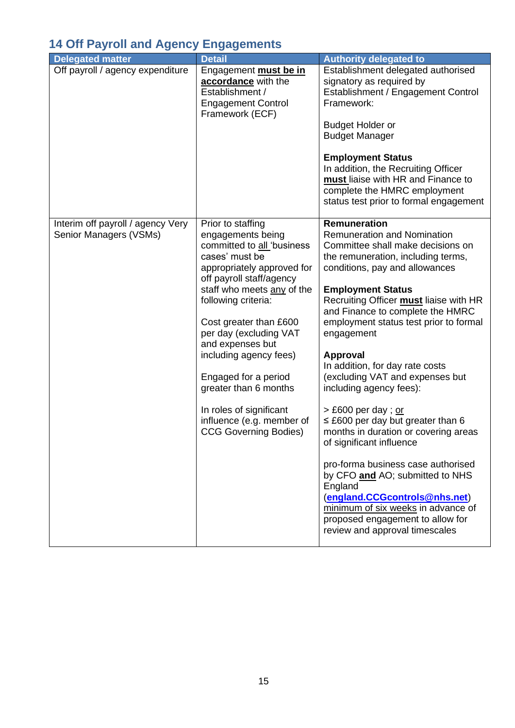# <span id="page-14-0"></span>**14 Off Payroll and Agency Engagements**

<span id="page-14-2"></span><span id="page-14-1"></span>

| <b>Delegated matter</b>                                     | <b>Detail</b>                                                                                                                                                                                                                                                                                                                                                                                                                                    | <b>Authority delegated to</b>                                                                                                                                                                                                                                                                                                                                                                                                                                                                                                                                                                                                                                                                                                                                                                                              |
|-------------------------------------------------------------|--------------------------------------------------------------------------------------------------------------------------------------------------------------------------------------------------------------------------------------------------------------------------------------------------------------------------------------------------------------------------------------------------------------------------------------------------|----------------------------------------------------------------------------------------------------------------------------------------------------------------------------------------------------------------------------------------------------------------------------------------------------------------------------------------------------------------------------------------------------------------------------------------------------------------------------------------------------------------------------------------------------------------------------------------------------------------------------------------------------------------------------------------------------------------------------------------------------------------------------------------------------------------------------|
| Off payroll / agency expenditure                            | Engagement <b>must be in</b><br>accordance with the<br>Establishment /<br><b>Engagement Control</b><br>Framework (ECF)                                                                                                                                                                                                                                                                                                                           | Establishment delegated authorised<br>signatory as required by<br>Establishment / Engagement Control<br>Framework:<br><b>Budget Holder or</b><br><b>Budget Manager</b><br><b>Employment Status</b><br>In addition, the Recruiting Officer<br>must liaise with HR and Finance to<br>complete the HMRC employment<br>status test prior to formal engagement                                                                                                                                                                                                                                                                                                                                                                                                                                                                  |
| Interim off payroll / agency Very<br>Senior Managers (VSMs) | Prior to staffing<br>engagements being<br>committed to all 'business<br>cases' must be<br>appropriately approved for<br>off payroll staff/agency<br>staff who meets any of the<br>following criteria:<br>Cost greater than £600<br>per day (excluding VAT<br>and expenses but<br>including agency fees)<br>Engaged for a period<br>greater than 6 months<br>In roles of significant<br>influence (e.g. member of<br><b>CCG Governing Bodies)</b> | Remuneration<br><b>Remuneration and Nomination</b><br>Committee shall make decisions on<br>the remuneration, including terms,<br>conditions, pay and allowances<br><b>Employment Status</b><br>Recruiting Officer must liaise with HR<br>and Finance to complete the HMRC<br>employment status test prior to formal<br>engagement<br><b>Approval</b><br>In addition, for day rate costs<br>(excluding VAT and expenses but<br>including agency fees):<br>> £600 per day; or<br>$\leq$ £600 per day but greater than 6<br>months in duration or covering areas<br>of significant influence<br>pro-forma business case authorised<br>by CFO and AO; submitted to NHS<br>England<br>(england.CCGcontrols@nhs.net)<br>minimum of six weeks in advance of<br>proposed engagement to allow for<br>review and approval timescales |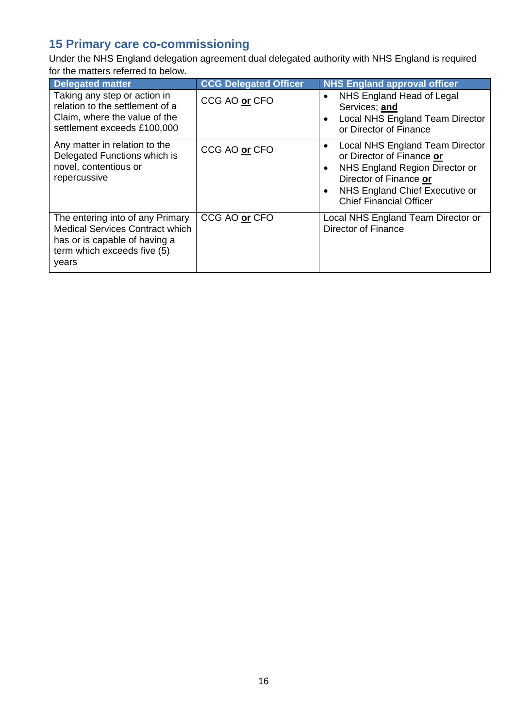# <span id="page-15-0"></span>**15 Primary care co-commissioning**

Under the NHS England delegation agreement dual delegated authority with NHS England is required for the matters referred to below.

<span id="page-15-3"></span><span id="page-15-2"></span><span id="page-15-1"></span>

| <b>Delegated matter</b>                                                                                                                             | <b>CCG Delegated Officer</b> | <b>NHS England approval officer</b>                                                                                                                                                          |
|-----------------------------------------------------------------------------------------------------------------------------------------------------|------------------------------|----------------------------------------------------------------------------------------------------------------------------------------------------------------------------------------------|
| Taking any step or action in<br>relation to the settlement of a<br>Claim, where the value of the<br>settlement exceeds £100,000                     | CCG AO or CFO                | NHS England Head of Legal<br>$\bullet$<br>Services; and<br>Local NHS England Team Director<br>or Director of Finance                                                                         |
| Any matter in relation to the<br>Delegated Functions which is<br>novel, contentious or<br>repercussive                                              | CCG AO or CFO                | Local NHS England Team Director<br>or Director of Finance or<br>NHS England Region Director or<br>Director of Finance or<br>NHS England Chief Executive or<br><b>Chief Financial Officer</b> |
| The entering into of any Primary<br><b>Medical Services Contract which</b><br>has or is capable of having a<br>term which exceeds five (5)<br>years | CCG AO or CFO                | Local NHS England Team Director or<br><b>Director of Finance</b>                                                                                                                             |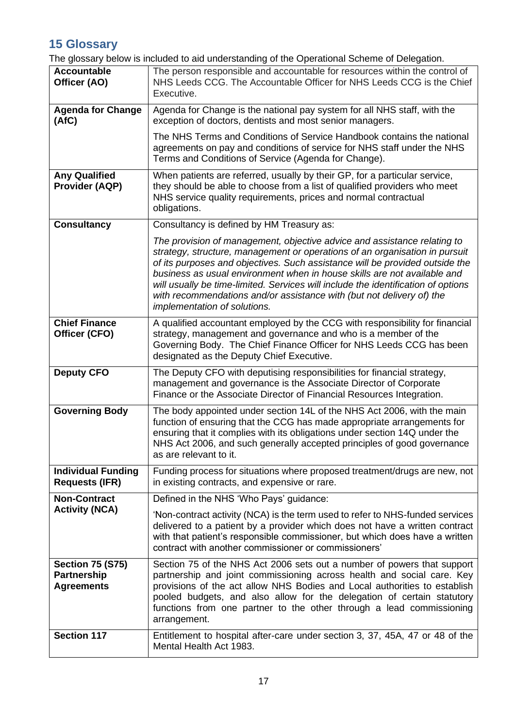### <span id="page-16-0"></span>**15 Glossary**

The glossary below is included to aid understanding of the Operational Scheme of Delegation.

| <b>Accountable</b><br>Officer (AO)                                 | The person responsible and accountable for resources within the control of<br>NHS Leeds CCG. The Accountable Officer for NHS Leeds CCG is the Chief<br>Executive.                                                                                                                                                                                                                                                                                                                                                 |
|--------------------------------------------------------------------|-------------------------------------------------------------------------------------------------------------------------------------------------------------------------------------------------------------------------------------------------------------------------------------------------------------------------------------------------------------------------------------------------------------------------------------------------------------------------------------------------------------------|
| <b>Agenda for Change</b><br>(AfC)                                  | Agenda for Change is the national pay system for all NHS staff, with the<br>exception of doctors, dentists and most senior managers.                                                                                                                                                                                                                                                                                                                                                                              |
|                                                                    | The NHS Terms and Conditions of Service Handbook contains the national<br>agreements on pay and conditions of service for NHS staff under the NHS<br>Terms and Conditions of Service (Agenda for Change).                                                                                                                                                                                                                                                                                                         |
| <b>Any Qualified</b><br><b>Provider (AQP)</b>                      | When patients are referred, usually by their GP, for a particular service,<br>they should be able to choose from a list of qualified providers who meet<br>NHS service quality requirements, prices and normal contractual<br>obligations.                                                                                                                                                                                                                                                                        |
| <b>Consultancy</b>                                                 | Consultancy is defined by HM Treasury as:                                                                                                                                                                                                                                                                                                                                                                                                                                                                         |
|                                                                    | The provision of management, objective advice and assistance relating to<br>strategy, structure, management or operations of an organisation in pursuit<br>of its purposes and objectives. Such assistance will be provided outside the<br>business as usual environment when in house skills are not available and<br>will usually be time-limited. Services will include the identification of options<br>with recommendations and/or assistance with (but not delivery of) the<br>implementation of solutions. |
| <b>Chief Finance</b><br>Officer (CFO)                              | A qualified accountant employed by the CCG with responsibility for financial<br>strategy, management and governance and who is a member of the<br>Governing Body. The Chief Finance Officer for NHS Leeds CCG has been<br>designated as the Deputy Chief Executive.                                                                                                                                                                                                                                               |
| <b>Deputy CFO</b>                                                  | The Deputy CFO with deputising responsibilities for financial strategy,<br>management and governance is the Associate Director of Corporate<br>Finance or the Associate Director of Financial Resources Integration.                                                                                                                                                                                                                                                                                              |
| <b>Governing Body</b>                                              | The body appointed under section 14L of the NHS Act 2006, with the main<br>function of ensuring that the CCG has made appropriate arrangements for<br>ensuring that it complies with its obligations under section 14Q under the<br>NHS Act 2006, and such generally accepted principles of good governance<br>as are relevant to it.                                                                                                                                                                             |
| <b>Individual Funding</b><br><b>Requests (IFR)</b>                 | Funding process for situations where proposed treatment/drugs are new, not<br>in existing contracts, and expensive or rare.                                                                                                                                                                                                                                                                                                                                                                                       |
| <b>Non-Contract</b>                                                | Defined in the NHS 'Who Pays' guidance:                                                                                                                                                                                                                                                                                                                                                                                                                                                                           |
| <b>Activity (NCA)</b>                                              | 'Non-contract activity (NCA) is the term used to refer to NHS-funded services<br>delivered to a patient by a provider which does not have a written contract<br>with that patient's responsible commissioner, but which does have a written<br>contract with another commissioner or commissioners'                                                                                                                                                                                                               |
| <b>Section 75 (S75)</b><br><b>Partnership</b><br><b>Agreements</b> | Section 75 of the NHS Act 2006 sets out a number of powers that support<br>partnership and joint commissioning across health and social care. Key<br>provisions of the act allow NHS Bodies and Local authorities to establish<br>pooled budgets, and also allow for the delegation of certain statutory<br>functions from one partner to the other through a lead commissioning<br>arrangement.                                                                                                                  |
| <b>Section 117</b>                                                 | Entitlement to hospital after-care under section 3, 37, 45A, 47 or 48 of the<br>Mental Health Act 1983.                                                                                                                                                                                                                                                                                                                                                                                                           |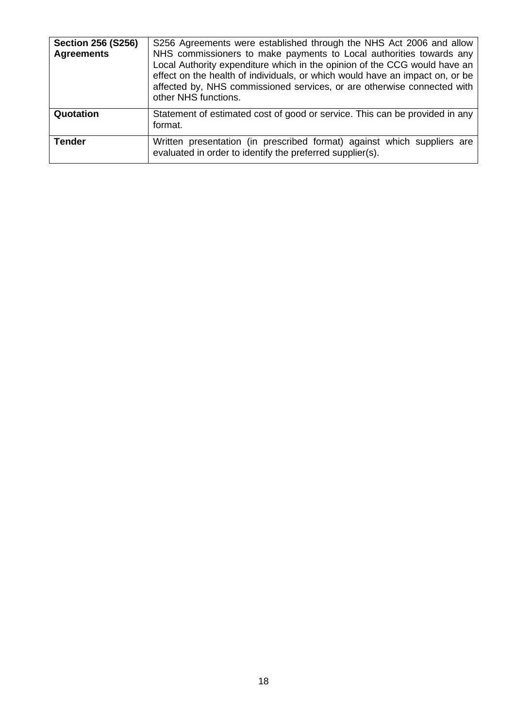| <b>Section 256 (S256)</b><br><b>Agreements</b> | S256 Agreements were established through the NHS Act 2006 and allow<br>NHS commissioners to make payments to Local authorities towards any<br>Local Authority expenditure which in the opinion of the CCG would have an<br>effect on the health of individuals, or which would have an impact on, or be<br>affected by, NHS commissioned services, or are otherwise connected with<br>other NHS functions. |
|------------------------------------------------|------------------------------------------------------------------------------------------------------------------------------------------------------------------------------------------------------------------------------------------------------------------------------------------------------------------------------------------------------------------------------------------------------------|
| Quotation                                      | Statement of estimated cost of good or service. This can be provided in any<br>format.                                                                                                                                                                                                                                                                                                                     |
| <b>Tender</b>                                  | Written presentation (in prescribed format) against which suppliers are<br>evaluated in order to identify the preferred supplier(s).                                                                                                                                                                                                                                                                       |